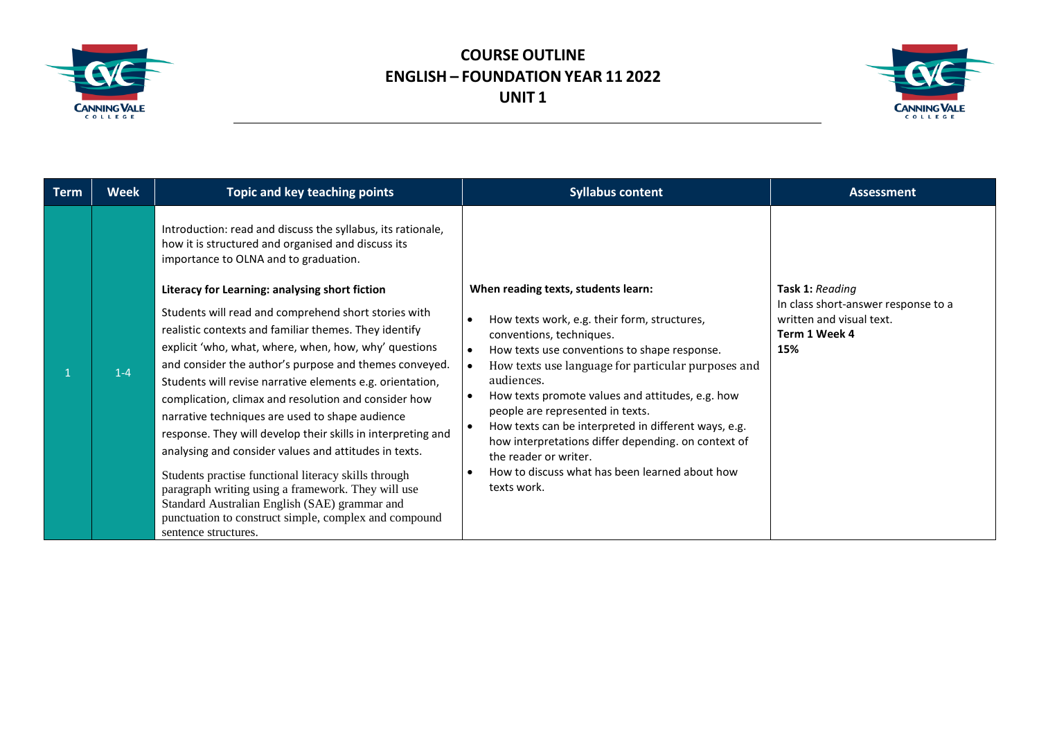

## **COURSE OUTLINE ENGLISH – FOUNDATION YEAR 11 2022 UNIT 1**



| <b>Term</b> | <b>Week</b> | Topic and key teaching points                                                                                                                                                                                                                                                                                                                                                                                                                                                                                                                                                                                                                                                                                                                                                                                                                                                                                                                                                                     | <b>Syllabus content</b>                                                                                                                                                                                                                                                                                                                                                                                                                                                                                                                           | <b>Assessment</b>                                                                                                 |
|-------------|-------------|---------------------------------------------------------------------------------------------------------------------------------------------------------------------------------------------------------------------------------------------------------------------------------------------------------------------------------------------------------------------------------------------------------------------------------------------------------------------------------------------------------------------------------------------------------------------------------------------------------------------------------------------------------------------------------------------------------------------------------------------------------------------------------------------------------------------------------------------------------------------------------------------------------------------------------------------------------------------------------------------------|---------------------------------------------------------------------------------------------------------------------------------------------------------------------------------------------------------------------------------------------------------------------------------------------------------------------------------------------------------------------------------------------------------------------------------------------------------------------------------------------------------------------------------------------------|-------------------------------------------------------------------------------------------------------------------|
|             | $1 - 4$     | Introduction: read and discuss the syllabus, its rationale,<br>how it is structured and organised and discuss its<br>importance to OLNA and to graduation.<br>Literacy for Learning: analysing short fiction<br>Students will read and comprehend short stories with<br>realistic contexts and familiar themes. They identify<br>explicit 'who, what, where, when, how, why' questions<br>and consider the author's purpose and themes conveyed.<br>Students will revise narrative elements e.g. orientation,<br>complication, climax and resolution and consider how<br>narrative techniques are used to shape audience<br>response. They will develop their skills in interpreting and<br>analysing and consider values and attitudes in texts.<br>Students practise functional literacy skills through<br>paragraph writing using a framework. They will use<br>Standard Australian English (SAE) grammar and<br>punctuation to construct simple, complex and compound<br>sentence structures. | When reading texts, students learn:<br>How texts work, e.g. their form, structures,<br>conventions, techniques.<br>How texts use conventions to shape response.<br>$\bullet$<br>How texts use language for particular purposes and<br>audiences.<br>How texts promote values and attitudes, e.g. how<br>people are represented in texts.<br>How texts can be interpreted in different ways, e.g.<br>how interpretations differ depending. on context of<br>the reader or writer.<br>How to discuss what has been learned about how<br>texts work. | <b>Task 1: Reading</b><br>In class short-answer response to a<br>written and visual text.<br>Term 1 Week 4<br>15% |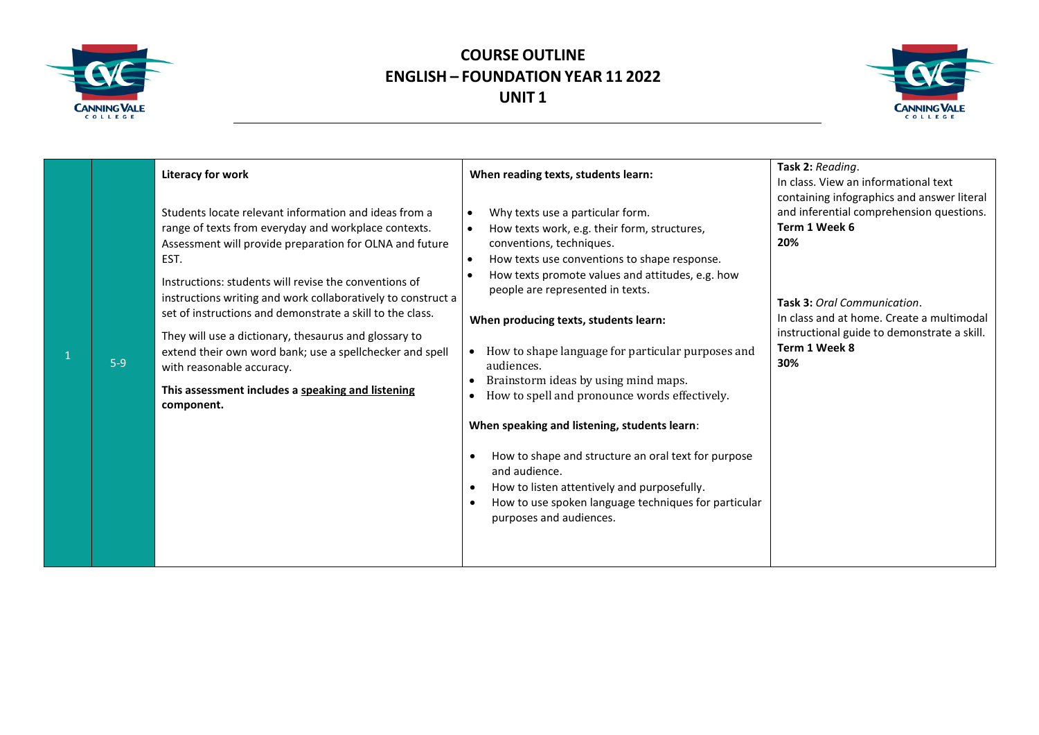

## **COURSE OUTLINE ENGLISH – FOUNDATION YEAR 11 2022 UNIT 1**



| $5-9$ | <b>Literacy for work</b><br>Students locate relevant information and ideas from a<br>range of texts from everyday and workplace contexts.<br>Assessment will provide preparation for OLNA and future<br>EST.<br>Instructions: students will revise the conventions of<br>instructions writing and work collaboratively to construct a<br>set of instructions and demonstrate a skill to the class.<br>They will use a dictionary, thesaurus and glossary to<br>extend their own word bank; use a spellchecker and spell<br>with reasonable accuracy.<br>This assessment includes a speaking and listening<br>component. | When reading texts, students learn:<br>Why texts use a particular form.<br>How texts work, e.g. their form, structures,<br>conventions, techniques.<br>How texts use conventions to shape response.<br>How texts promote values and attitudes, e.g. how<br>people are represented in texts.<br>When producing texts, students learn:<br>How to shape language for particular purposes and<br>audiences.<br>Brainstorm ideas by using mind maps.<br>How to spell and pronounce words effectively.<br>When speaking and listening, students learn:<br>How to shape and structure an oral text for purpose<br>$\bullet$<br>and audience.<br>How to listen attentively and purposefully.<br>$\bullet$<br>How to use spoken language techniques for particular<br>purposes and audiences. | Task 2: Reading.<br>In class. View an informational text<br>containing infographics and answer literal<br>and inferential comprehension questions.<br>Term 1 Week 6<br>20%<br>Task 3: Oral Communication.<br>In class and at home. Create a multimodal<br>instructional guide to demonstrate a skill.<br>Term 1 Week 8<br>30% |
|-------|-------------------------------------------------------------------------------------------------------------------------------------------------------------------------------------------------------------------------------------------------------------------------------------------------------------------------------------------------------------------------------------------------------------------------------------------------------------------------------------------------------------------------------------------------------------------------------------------------------------------------|--------------------------------------------------------------------------------------------------------------------------------------------------------------------------------------------------------------------------------------------------------------------------------------------------------------------------------------------------------------------------------------------------------------------------------------------------------------------------------------------------------------------------------------------------------------------------------------------------------------------------------------------------------------------------------------------------------------------------------------------------------------------------------------|-------------------------------------------------------------------------------------------------------------------------------------------------------------------------------------------------------------------------------------------------------------------------------------------------------------------------------|
|-------|-------------------------------------------------------------------------------------------------------------------------------------------------------------------------------------------------------------------------------------------------------------------------------------------------------------------------------------------------------------------------------------------------------------------------------------------------------------------------------------------------------------------------------------------------------------------------------------------------------------------------|--------------------------------------------------------------------------------------------------------------------------------------------------------------------------------------------------------------------------------------------------------------------------------------------------------------------------------------------------------------------------------------------------------------------------------------------------------------------------------------------------------------------------------------------------------------------------------------------------------------------------------------------------------------------------------------------------------------------------------------------------------------------------------------|-------------------------------------------------------------------------------------------------------------------------------------------------------------------------------------------------------------------------------------------------------------------------------------------------------------------------------|